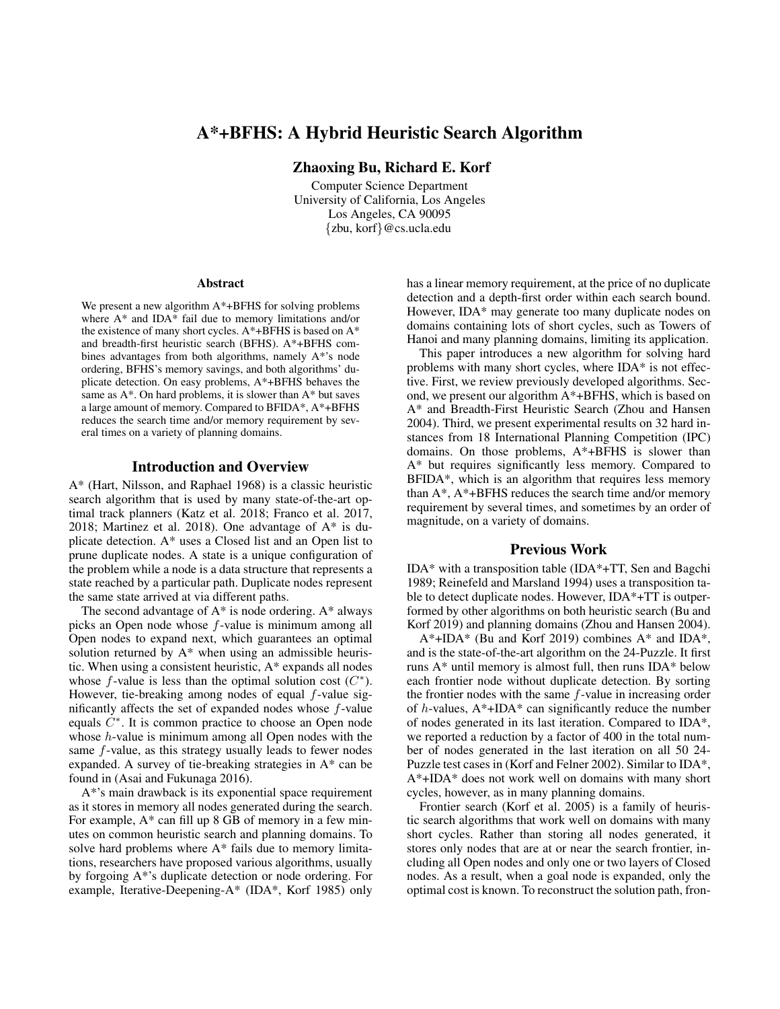# A\*+BFHS: A Hybrid Heuristic Search Algorithm

Zhaoxing Bu, Richard E. Korf

Computer Science Department University of California, Los Angeles Los Angeles, CA 90095 {zbu, korf}@cs.ucla.edu

#### **Abstract**

We present a new algorithm  $A^*$ +BFHS for solving problems where A\* and IDA\* fail due to memory limitations and/or the existence of many short cycles. A\*+BFHS is based on A\* and breadth-first heuristic search (BFHS). A\*+BFHS combines advantages from both algorithms, namely A\*'s node ordering, BFHS's memory savings, and both algorithms' duplicate detection. On easy problems, A\*+BFHS behaves the same as A\*. On hard problems, it is slower than A\* but saves a large amount of memory. Compared to BFIDA\*, A\*+BFHS reduces the search time and/or memory requirement by several times on a variety of planning domains.

### Introduction and Overview

A\* (Hart, Nilsson, and Raphael 1968) is a classic heuristic search algorithm that is used by many state-of-the-art optimal track planners (Katz et al. 2018; Franco et al. 2017, 2018; Martinez et al. 2018). One advantage of A\* is duplicate detection. A\* uses a Closed list and an Open list to prune duplicate nodes. A state is a unique configuration of the problem while a node is a data structure that represents a state reached by a particular path. Duplicate nodes represent the same state arrived at via different paths.

The second advantage of  $A^*$  is node ordering.  $A^*$  always picks an Open node whose f-value is minimum among all Open nodes to expand next, which guarantees an optimal solution returned by A\* when using an admissible heuristic. When using a consistent heuristic, A\* expands all nodes whose  $f$ -value is less than the optimal solution cost  $(C^*)$ . However, tie-breaking among nodes of equal  $f$ -value significantly affects the set of expanded nodes whose f-value equals  $\dot{C}^*$ . It is common practice to choose an Open node whose  $h$ -value is minimum among all Open nodes with the same f-value, as this strategy usually leads to fewer nodes expanded. A survey of tie-breaking strategies in A\* can be found in (Asai and Fukunaga 2016).

A\*'s main drawback is its exponential space requirement as it stores in memory all nodes generated during the search. For example, A\* can fill up 8 GB of memory in a few minutes on common heuristic search and planning domains. To solve hard problems where A\* fails due to memory limitations, researchers have proposed various algorithms, usually by forgoing A\*'s duplicate detection or node ordering. For example, Iterative-Deepening-A\* (IDA\*, Korf 1985) only

has a linear memory requirement, at the price of no duplicate detection and a depth-first order within each search bound. However, IDA\* may generate too many duplicate nodes on domains containing lots of short cycles, such as Towers of Hanoi and many planning domains, limiting its application.

This paper introduces a new algorithm for solving hard problems with many short cycles, where IDA\* is not effective. First, we review previously developed algorithms. Second, we present our algorithm A\*+BFHS, which is based on A\* and Breadth-First Heuristic Search (Zhou and Hansen 2004). Third, we present experimental results on 32 hard instances from 18 International Planning Competition (IPC) domains. On those problems, A\*+BFHS is slower than A\* but requires significantly less memory. Compared to BFIDA\*, which is an algorithm that requires less memory than  $A^*$ ,  $A^*$ +BFHS reduces the search time and/or memory requirement by several times, and sometimes by an order of magnitude, on a variety of domains.

## Previous Work

IDA\* with a transposition table (IDA\*+TT, Sen and Bagchi 1989; Reinefeld and Marsland 1994) uses a transposition table to detect duplicate nodes. However, IDA\*+TT is outperformed by other algorithms on both heuristic search (Bu and Korf 2019) and planning domains (Zhou and Hansen 2004).

 $A^*$ +IDA\* (Bu and Korf 2019) combines  $A^*$  and IDA\*, and is the state-of-the-art algorithm on the 24-Puzzle. It first runs A\* until memory is almost full, then runs IDA\* below each frontier node without duplicate detection. By sorting the frontier nodes with the same  $f$ -value in increasing order of  $h$ -values,  $A^*$ +IDA\* can significantly reduce the number of nodes generated in its last iteration. Compared to IDA\*, we reported a reduction by a factor of 400 in the total number of nodes generated in the last iteration on all 50 24- Puzzle test cases in (Korf and Felner 2002). Similar to IDA\*, A\*+IDA\* does not work well on domains with many short cycles, however, as in many planning domains.

Frontier search (Korf et al. 2005) is a family of heuristic search algorithms that work well on domains with many short cycles. Rather than storing all nodes generated, it stores only nodes that are at or near the search frontier, including all Open nodes and only one or two layers of Closed nodes. As a result, when a goal node is expanded, only the optimal cost is known. To reconstruct the solution path, fron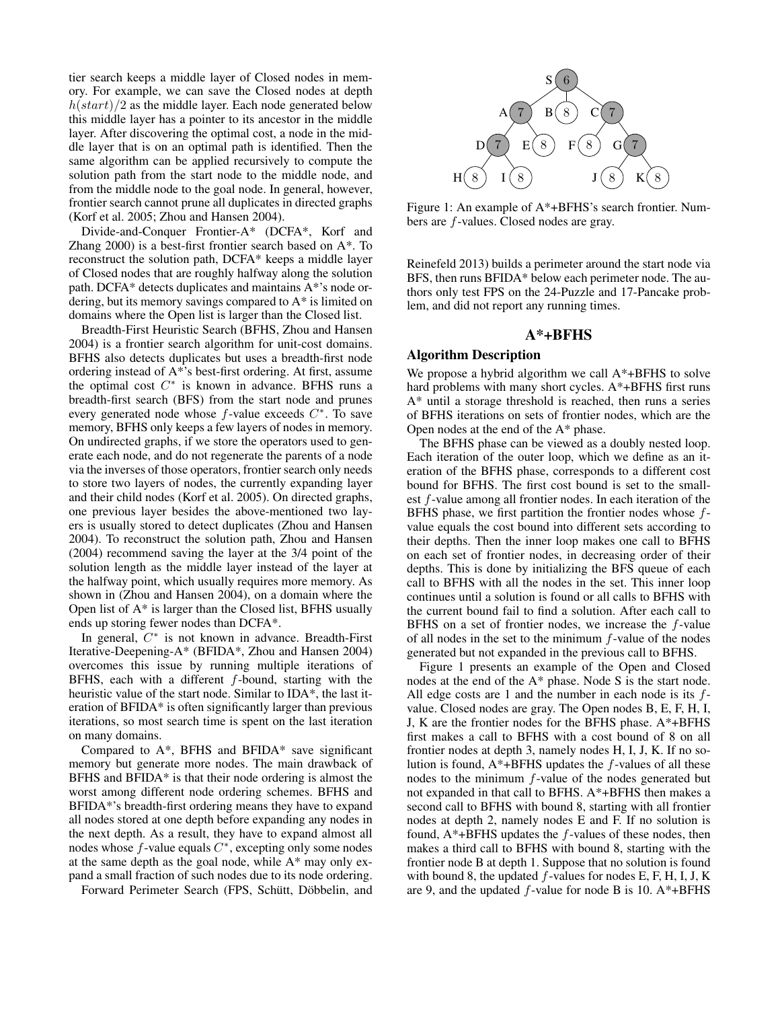tier search keeps a middle layer of Closed nodes in memory. For example, we can save the Closed nodes at depth  $h(start)/2$  as the middle layer. Each node generated below this middle layer has a pointer to its ancestor in the middle layer. After discovering the optimal cost, a node in the middle layer that is on an optimal path is identified. Then the same algorithm can be applied recursively to compute the solution path from the start node to the middle node, and from the middle node to the goal node. In general, however, frontier search cannot prune all duplicates in directed graphs (Korf et al. 2005; Zhou and Hansen 2004).

Divide-and-Conquer Frontier-A\* (DCFA\*, Korf and Zhang 2000) is a best-first frontier search based on A\*. To reconstruct the solution path, DCFA\* keeps a middle layer of Closed nodes that are roughly halfway along the solution path. DCFA\* detects duplicates and maintains A\*'s node ordering, but its memory savings compared to A\* is limited on domains where the Open list is larger than the Closed list.

Breadth-First Heuristic Search (BFHS, Zhou and Hansen 2004) is a frontier search algorithm for unit-cost domains. BFHS also detects duplicates but uses a breadth-first node ordering instead of A\*'s best-first ordering. At first, assume the optimal cost  $C^*$  is known in advance. BFHS runs a breadth-first search (BFS) from the start node and prunes every generated node whose  $f$ -value exceeds  $C^*$ . To save memory, BFHS only keeps a few layers of nodes in memory. On undirected graphs, if we store the operators used to generate each node, and do not regenerate the parents of a node via the inverses of those operators, frontier search only needs to store two layers of nodes, the currently expanding layer and their child nodes (Korf et al. 2005). On directed graphs, one previous layer besides the above-mentioned two layers is usually stored to detect duplicates (Zhou and Hansen 2004). To reconstruct the solution path, Zhou and Hansen (2004) recommend saving the layer at the 3/4 point of the solution length as the middle layer instead of the layer at the halfway point, which usually requires more memory. As shown in (Zhou and Hansen 2004), on a domain where the Open list of  $A^*$  is larger than the Closed list, BFHS usually ends up storing fewer nodes than DCFA\*.

In general,  $C^*$  is not known in advance. Breadth-First Iterative-Deepening-A\* (BFIDA\*, Zhou and Hansen 2004) overcomes this issue by running multiple iterations of BFHS, each with a different  $f$ -bound, starting with the heuristic value of the start node. Similar to IDA\*, the last iteration of BFIDA\* is often significantly larger than previous iterations, so most search time is spent on the last iteration on many domains.

Compared to A\*, BFHS and BFIDA\* save significant memory but generate more nodes. The main drawback of BFHS and BFIDA\* is that their node ordering is almost the worst among different node ordering schemes. BFHS and BFIDA\*'s breadth-first ordering means they have to expand all nodes stored at one depth before expanding any nodes in the next depth. As a result, they have to expand almost all nodes whose  $f$ -value equals  $C^*$ , excepting only some nodes at the same depth as the goal node, while A\* may only expand a small fraction of such nodes due to its node ordering.

Forward Perimeter Search (FPS, Schütt, Döbbelin, and



Figure 1: An example of A\*+BFHS's search frontier. Numbers are f-values. Closed nodes are gray.

Reinefeld 2013) builds a perimeter around the start node via BFS, then runs BFIDA\* below each perimeter node. The authors only test FPS on the 24-Puzzle and 17-Pancake problem, and did not report any running times.

### A\*+BFHS

### Algorithm Description

We propose a hybrid algorithm we call  $A^*$ +BFHS to solve hard problems with many short cycles. A\*+BFHS first runs A\* until a storage threshold is reached, then runs a series of BFHS iterations on sets of frontier nodes, which are the Open nodes at the end of the A\* phase.

The BFHS phase can be viewed as a doubly nested loop. Each iteration of the outer loop, which we define as an iteration of the BFHS phase, corresponds to a different cost bound for BFHS. The first cost bound is set to the smallest f-value among all frontier nodes. In each iteration of the BFHS phase, we first partition the frontier nodes whose  $f$ value equals the cost bound into different sets according to their depths. Then the inner loop makes one call to BFHS on each set of frontier nodes, in decreasing order of their depths. This is done by initializing the BFS queue of each call to BFHS with all the nodes in the set. This inner loop continues until a solution is found or all calls to BFHS with the current bound fail to find a solution. After each call to BFHS on a set of frontier nodes, we increase the  $f$ -value of all nodes in the set to the minimum f-value of the nodes generated but not expanded in the previous call to BFHS.

Figure 1 presents an example of the Open and Closed nodes at the end of the A\* phase. Node S is the start node. All edge costs are 1 and the number in each node is its  $f$ value. Closed nodes are gray. The Open nodes B, E, F, H, I, J, K are the frontier nodes for the BFHS phase. A\*+BFHS first makes a call to BFHS with a cost bound of 8 on all frontier nodes at depth 3, namely nodes H, I, J, K. If no solution is found,  $A^*$ +BFHS updates the  $f$ -values of all these nodes to the minimum f-value of the nodes generated but not expanded in that call to BFHS. A\*+BFHS then makes a second call to BFHS with bound 8, starting with all frontier nodes at depth 2, namely nodes E and F. If no solution is found,  $A^*$ +BFHS updates the  $f$ -values of these nodes, then makes a third call to BFHS with bound 8, starting with the frontier node B at depth 1. Suppose that no solution is found with bound 8, the updated  $f$ -values for nodes E, F, H, I, J, K are 9, and the updated  $f$ -value for node B is 10.  $A^*$ +BFHS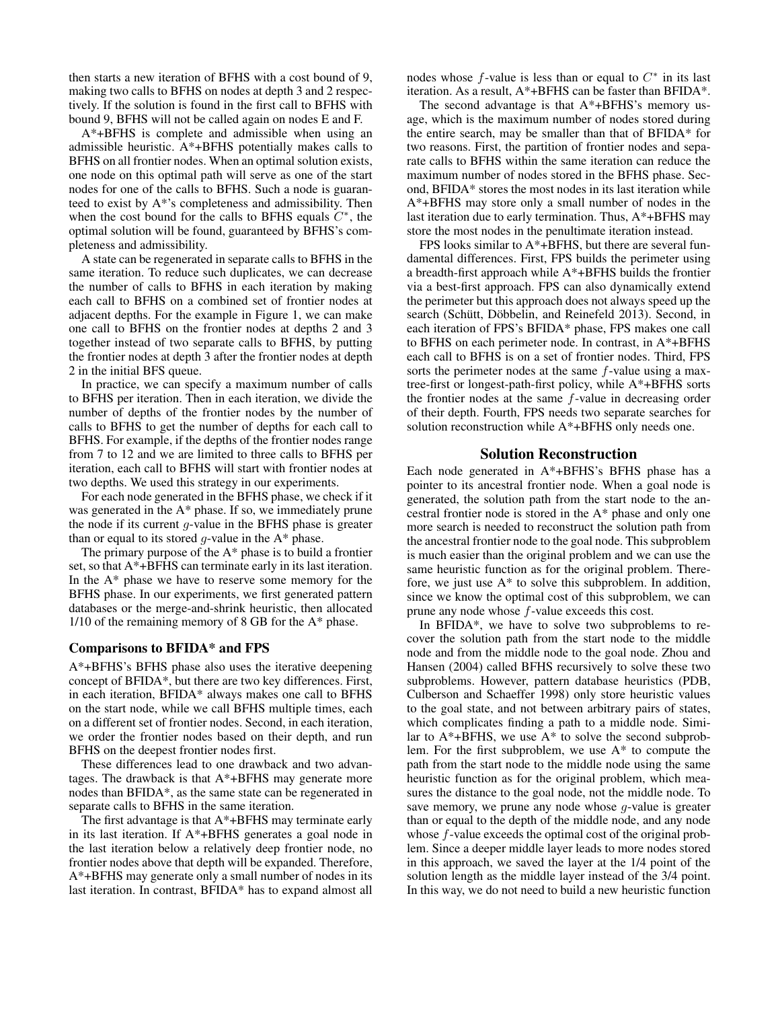then starts a new iteration of BFHS with a cost bound of 9, making two calls to BFHS on nodes at depth 3 and 2 respectively. If the solution is found in the first call to BFHS with bound 9, BFHS will not be called again on nodes E and F.

A\*+BFHS is complete and admissible when using an admissible heuristic. A\*+BFHS potentially makes calls to BFHS on all frontier nodes. When an optimal solution exists, one node on this optimal path will serve as one of the start nodes for one of the calls to BFHS. Such a node is guaranteed to exist by A\*'s completeness and admissibility. Then when the cost bound for the calls to BFHS equals  $C^*$ , the optimal solution will be found, guaranteed by BFHS's completeness and admissibility.

A state can be regenerated in separate calls to BFHS in the same iteration. To reduce such duplicates, we can decrease the number of calls to BFHS in each iteration by making each call to BFHS on a combined set of frontier nodes at adjacent depths. For the example in Figure 1, we can make one call to BFHS on the frontier nodes at depths 2 and 3 together instead of two separate calls to BFHS, by putting the frontier nodes at depth 3 after the frontier nodes at depth 2 in the initial BFS queue.

In practice, we can specify a maximum number of calls to BFHS per iteration. Then in each iteration, we divide the number of depths of the frontier nodes by the number of calls to BFHS to get the number of depths for each call to BFHS. For example, if the depths of the frontier nodes range from 7 to 12 and we are limited to three calls to BFHS per iteration, each call to BFHS will start with frontier nodes at two depths. We used this strategy in our experiments.

For each node generated in the BFHS phase, we check if it was generated in the A\* phase. If so, we immediately prune the node if its current  $q$ -value in the BFHS phase is greater than or equal to its stored  $g$ -value in the  $A^*$  phase.

The primary purpose of the A\* phase is to build a frontier set, so that A\*+BFHS can terminate early in its last iteration. In the  $A^*$  phase we have to reserve some memory for the BFHS phase. In our experiments, we first generated pattern databases or the merge-and-shrink heuristic, then allocated 1/10 of the remaining memory of 8 GB for the A\* phase.

### Comparisons to BFIDA\* and FPS

A\*+BFHS's BFHS phase also uses the iterative deepening concept of BFIDA\*, but there are two key differences. First, in each iteration, BFIDA\* always makes one call to BFHS on the start node, while we call BFHS multiple times, each on a different set of frontier nodes. Second, in each iteration, we order the frontier nodes based on their depth, and run BFHS on the deepest frontier nodes first.

These differences lead to one drawback and two advantages. The drawback is that A\*+BFHS may generate more nodes than BFIDA\*, as the same state can be regenerated in separate calls to BFHS in the same iteration.

The first advantage is that A\*+BFHS may terminate early in its last iteration. If A\*+BFHS generates a goal node in the last iteration below a relatively deep frontier node, no frontier nodes above that depth will be expanded. Therefore, A\*+BFHS may generate only a small number of nodes in its last iteration. In contrast, BFIDA\* has to expand almost all

nodes whose  $f$ -value is less than or equal to  $C^*$  in its last iteration. As a result, A\*+BFHS can be faster than BFIDA\*.

The second advantage is that A\*+BFHS's memory usage, which is the maximum number of nodes stored during the entire search, may be smaller than that of BFIDA\* for two reasons. First, the partition of frontier nodes and separate calls to BFHS within the same iteration can reduce the maximum number of nodes stored in the BFHS phase. Second, BFIDA\* stores the most nodes in its last iteration while A\*+BFHS may store only a small number of nodes in the last iteration due to early termination. Thus, A\*+BFHS may store the most nodes in the penultimate iteration instead.

FPS looks similar to A\*+BFHS, but there are several fundamental differences. First, FPS builds the perimeter using a breadth-first approach while A\*+BFHS builds the frontier via a best-first approach. FPS can also dynamically extend the perimeter but this approach does not always speed up the search (Schütt, Döbbelin, and Reinefeld 2013). Second, in each iteration of FPS's BFIDA\* phase, FPS makes one call to BFHS on each perimeter node. In contrast, in A\*+BFHS each call to BFHS is on a set of frontier nodes. Third, FPS sorts the perimeter nodes at the same  $f$ -value using a maxtree-first or longest-path-first policy, while A\*+BFHS sorts the frontier nodes at the same  $f$ -value in decreasing order of their depth. Fourth, FPS needs two separate searches for solution reconstruction while A\*+BFHS only needs one.

## Solution Reconstruction

Each node generated in A\*+BFHS's BFHS phase has a pointer to its ancestral frontier node. When a goal node is generated, the solution path from the start node to the ancestral frontier node is stored in the A\* phase and only one more search is needed to reconstruct the solution path from the ancestral frontier node to the goal node. This subproblem is much easier than the original problem and we can use the same heuristic function as for the original problem. Therefore, we just use A\* to solve this subproblem. In addition, since we know the optimal cost of this subproblem, we can prune any node whose f-value exceeds this cost.

In BFIDA\*, we have to solve two subproblems to recover the solution path from the start node to the middle node and from the middle node to the goal node. Zhou and Hansen (2004) called BFHS recursively to solve these two subproblems. However, pattern database heuristics (PDB, Culberson and Schaeffer 1998) only store heuristic values to the goal state, and not between arbitrary pairs of states, which complicates finding a path to a middle node. Similar to  $A^*$ +BFHS, we use  $A^*$  to solve the second subproblem. For the first subproblem, we use A\* to compute the path from the start node to the middle node using the same heuristic function as for the original problem, which measures the distance to the goal node, not the middle node. To save memory, we prune any node whose  $q$ -value is greater than or equal to the depth of the middle node, and any node whose f-value exceeds the optimal cost of the original problem. Since a deeper middle layer leads to more nodes stored in this approach, we saved the layer at the 1/4 point of the solution length as the middle layer instead of the 3/4 point. In this way, we do not need to build a new heuristic function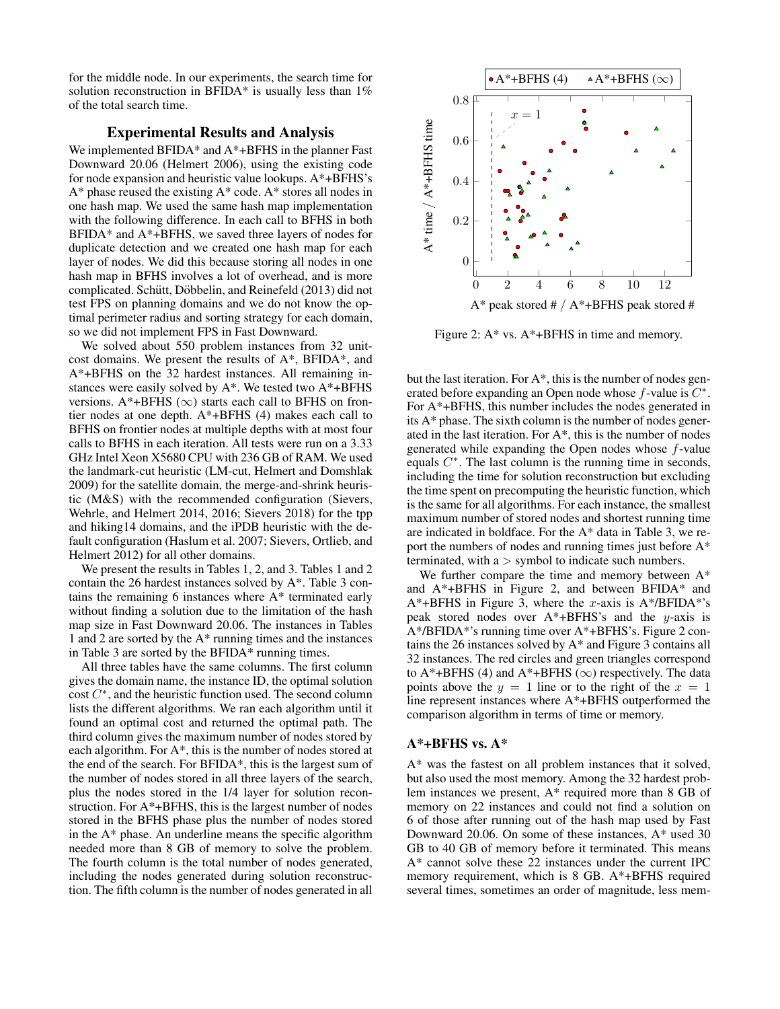for the middle node. In our experiments, the search time for solution reconstruction in BFIDA\* is usually less than  $1\%$ of the total search time.

## Experimental Results and Analysis

We implemented BFIDA\* and A\*+BFHS in the planner Fast Downward 20.06 (Helmert 2006), using the existing code for node expansion and heuristic value lookups. A\*+BFHS's A\* phase reused the existing A\* code. A\* stores all nodes in one hash map. We used the same hash map implementation with the following difference. In each call to BFHS in both BFIDA\* and A\*+BFHS, we saved three layers of nodes for duplicate detection and we created one hash map for each layer of nodes. We did this because storing all nodes in one hash map in BFHS involves a lot of overhead, and is more complicated. Schütt, Döbbelin, and Reinefeld (2013) did not test FPS on planning domains and we do not know the optimal perimeter radius and sorting strategy for each domain, so we did not implement FPS in Fast Downward.

We solved about 550 problem instances from 32 unitcost domains. We present the results of A\*, BFIDA\*, and A\*+BFHS on the 32 hardest instances. All remaining instances were easily solved by A\*. We tested two A\*+BFHS versions. A\*+BFHS ( $\infty$ ) starts each call to BFHS on frontier nodes at one depth. A\*+BFHS (4) makes each call to BFHS on frontier nodes at multiple depths with at most four calls to BFHS in each iteration. All tests were run on a 3.33 GHz Intel Xeon X5680 CPU with 236 GB of RAM. We used the landmark-cut heuristic (LM-cut, Helmert and Domshlak 2009) for the satellite domain, the merge-and-shrink heuristic (M&S) with the recommended configuration (Sievers, Wehrle, and Helmert 2014, 2016; Sievers 2018) for the tpp and hiking14 domains, and the iPDB heuristic with the default configuration (Haslum et al. 2007; Sievers, Ortlieb, and Helmert 2012) for all other domains.

We present the results in Tables 1, 2, and 3. Tables 1 and 2 contain the 26 hardest instances solved by A\*. Table 3 contains the remaining 6 instances where  $A^*$  terminated early without finding a solution due to the limitation of the hash map size in Fast Downward 20.06. The instances in Tables 1 and 2 are sorted by the A\* running times and the instances in Table 3 are sorted by the BFIDA\* running times.

All three tables have the same columns. The first column gives the domain name, the instance ID, the optimal solution  $\cosh C^*$ , and the heuristic function used. The second column lists the different algorithms. We ran each algorithm until it found an optimal cost and returned the optimal path. The third column gives the maximum number of nodes stored by each algorithm. For A\*, this is the number of nodes stored at the end of the search. For BFIDA\*, this is the largest sum of the number of nodes stored in all three layers of the search, plus the nodes stored in the 1/4 layer for solution reconstruction. For A\*+BFHS, this is the largest number of nodes stored in the BFHS phase plus the number of nodes stored in the A\* phase. An underline means the specific algorithm needed more than 8 GB of memory to solve the problem. The fourth column is the total number of nodes generated, including the nodes generated during solution reconstruction. The fifth column is the number of nodes generated in all



Figure 2: A\* vs. A\*+BFHS in time and memory.

but the last iteration. For A\*, this is the number of nodes generated before expanding an Open node whose  $f$ -value is  $C^*$ . For A\*+BFHS, this number includes the nodes generated in its A\* phase. The sixth column is the number of nodes generated in the last iteration. For A\*, this is the number of nodes generated while expanding the Open nodes whose  $f$ -value equals  $C^*$ . The last column is the running time in seconds, including the time for solution reconstruction but excluding the time spent on precomputing the heuristic function, which is the same for all algorithms. For each instance, the smallest maximum number of stored nodes and shortest running time are indicated in boldface. For the A\* data in Table 3, we report the numbers of nodes and running times just before A\* terminated, with  $a >$  symbol to indicate such numbers.

We further compare the time and memory between  $A^*$ and A\*+BFHS in Figure 2, and between BFIDA\* and  $A^*$ +BFHS in Figure 3, where the x-axis is  $A^*$ /BFIDA\*'s peak stored nodes over  $A^*$ +BFHS's and the y-axis is A\*/BFIDA\*'s running time over A\*+BFHS's. Figure 2 contains the 26 instances solved by A\* and Figure 3 contains all 32 instances. The red circles and green triangles correspond to A\*+BFHS (4) and A\*+BFHS ( $\infty$ ) respectively. The data points above the  $y = 1$  line or to the right of the  $x = 1$ line represent instances where A\*+BFHS outperformed the comparison algorithm in terms of time or memory.

## $A^*$ +BFHS vs.  $A^*$

A\* was the fastest on all problem instances that it solved, but also used the most memory. Among the 32 hardest problem instances we present, A\* required more than 8 GB of memory on 22 instances and could not find a solution on 6 of those after running out of the hash map used by Fast Downward 20.06. On some of these instances, A\* used 30 GB to 40 GB of memory before it terminated. This means A\* cannot solve these 22 instances under the current IPC memory requirement, which is 8 GB. A\*+BFHS required several times, sometimes an order of magnitude, less mem-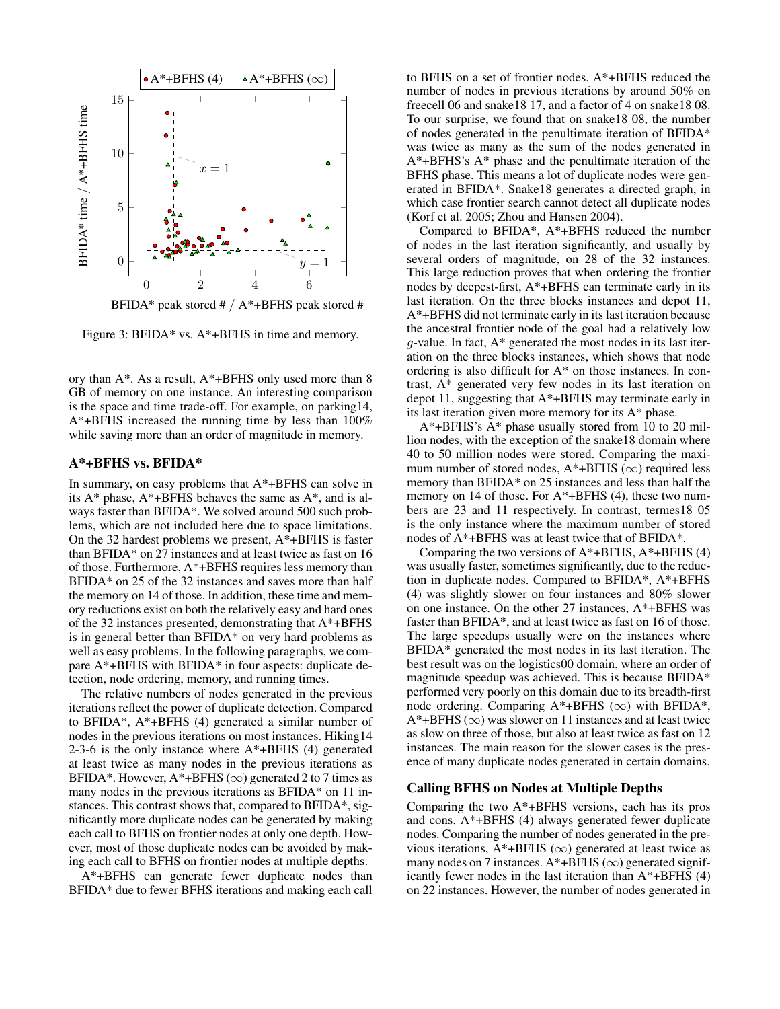

BFIDA\* peak stored  $\# / A^*$ +BFHS peak stored  $\#$ 

Figure 3: BFIDA\* vs. A\*+BFHS in time and memory.

ory than A\*. As a result, A\*+BFHS only used more than 8 GB of memory on one instance. An interesting comparison is the space and time trade-off. For example, on parking14, A\*+BFHS increased the running time by less than 100% while saving more than an order of magnitude in memory.

### A\*+BFHS vs. BFIDA\*

In summary, on easy problems that A\*+BFHS can solve in its  $A^*$  phase,  $A^*$ +BFHS behaves the same as  $A^*$ , and is always faster than BFIDA\*. We solved around 500 such problems, which are not included here due to space limitations. On the 32 hardest problems we present, A\*+BFHS is faster than BFIDA\* on 27 instances and at least twice as fast on 16 of those. Furthermore, A\*+BFHS requires less memory than BFIDA\* on 25 of the 32 instances and saves more than half the memory on 14 of those. In addition, these time and memory reductions exist on both the relatively easy and hard ones of the 32 instances presented, demonstrating that A\*+BFHS is in general better than BFIDA\* on very hard problems as well as easy problems. In the following paragraphs, we compare A\*+BFHS with BFIDA\* in four aspects: duplicate detection, node ordering, memory, and running times.

The relative numbers of nodes generated in the previous iterations reflect the power of duplicate detection. Compared to BFIDA\*, A\*+BFHS (4) generated a similar number of nodes in the previous iterations on most instances. Hiking14 2-3-6 is the only instance where  $A^*$ +BFHS (4) generated at least twice as many nodes in the previous iterations as BFIDA\*. However, A\*+BFHS ( $\infty$ ) generated 2 to 7 times as many nodes in the previous iterations as BFIDA\* on 11 instances. This contrast shows that, compared to BFIDA\*, significantly more duplicate nodes can be generated by making each call to BFHS on frontier nodes at only one depth. However, most of those duplicate nodes can be avoided by making each call to BFHS on frontier nodes at multiple depths.

A\*+BFHS can generate fewer duplicate nodes than BFIDA\* due to fewer BFHS iterations and making each call

to BFHS on a set of frontier nodes. A\*+BFHS reduced the number of nodes in previous iterations by around 50% on freecell 06 and snake18 17, and a factor of 4 on snake18 08. To our surprise, we found that on snake18 08, the number of nodes generated in the penultimate iteration of BFIDA\* was twice as many as the sum of the nodes generated in A\*+BFHS's A\* phase and the penultimate iteration of the BFHS phase. This means a lot of duplicate nodes were generated in BFIDA\*. Snake18 generates a directed graph, in which case frontier search cannot detect all duplicate nodes (Korf et al. 2005; Zhou and Hansen 2004).

Compared to BFIDA\*, A\*+BFHS reduced the number of nodes in the last iteration significantly, and usually by several orders of magnitude, on 28 of the 32 instances. This large reduction proves that when ordering the frontier nodes by deepest-first, A\*+BFHS can terminate early in its last iteration. On the three blocks instances and depot 11, A\*+BFHS did not terminate early in its last iteration because the ancestral frontier node of the goal had a relatively low  $g$ -value. In fact,  $A^*$  generated the most nodes in its last iteration on the three blocks instances, which shows that node ordering is also difficult for A\* on those instances. In contrast, A\* generated very few nodes in its last iteration on depot 11, suggesting that A\*+BFHS may terminate early in its last iteration given more memory for its A\* phase.

A\*+BFHS's A\* phase usually stored from 10 to 20 million nodes, with the exception of the snake18 domain where 40 to 50 million nodes were stored. Comparing the maximum number of stored nodes,  $A^*+BFHS(\infty)$  required less memory than BFIDA\* on 25 instances and less than half the memory on 14 of those. For A\*+BFHS (4), these two numbers are 23 and 11 respectively. In contrast, termes18 05 is the only instance where the maximum number of stored nodes of A\*+BFHS was at least twice that of BFIDA\*.

Comparing the two versions of  $A^*$ +BFHS,  $A^*$ +BFHS (4) was usually faster, sometimes significantly, due to the reduction in duplicate nodes. Compared to BFIDA\*, A\*+BFHS (4) was slightly slower on four instances and 80% slower on one instance. On the other 27 instances, A\*+BFHS was faster than BFIDA\*, and at least twice as fast on 16 of those. The large speedups usually were on the instances where BFIDA\* generated the most nodes in its last iteration. The best result was on the logistics00 domain, where an order of magnitude speedup was achieved. This is because BFIDA\* performed very poorly on this domain due to its breadth-first node ordering. Comparing A\*+BFHS ( $\infty$ ) with BFIDA\*,  $A^*$ +BFHS ( $\infty$ ) was slower on 11 instances and at least twice as slow on three of those, but also at least twice as fast on 12 instances. The main reason for the slower cases is the presence of many duplicate nodes generated in certain domains.

### Calling BFHS on Nodes at Multiple Depths

Comparing the two A\*+BFHS versions, each has its pros and cons. A\*+BFHS (4) always generated fewer duplicate nodes. Comparing the number of nodes generated in the previous iterations, A\*+BFHS ( $\infty$ ) generated at least twice as many nodes on 7 instances.  $A^*$ +BFHS ( $\infty$ ) generated significantly fewer nodes in the last iteration than A\*+BFHS (4) on 22 instances. However, the number of nodes generated in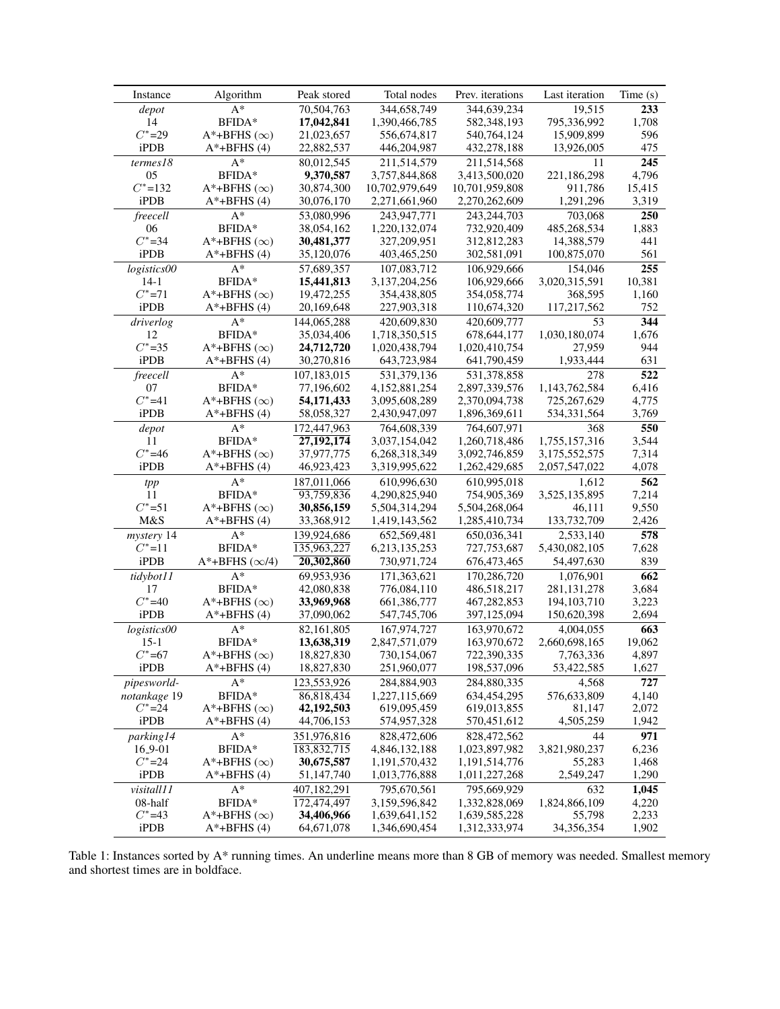| Instance     | Algorithm                  | Peak stored   | Total nodes    | Prev. iterations           | Last iteration          | Time(s)       |
|--------------|----------------------------|---------------|----------------|----------------------------|-------------------------|---------------|
| depot        | $A^*$                      | 70,504,763    | 344,658,749    | 344,639,234                | 19,515                  | 233           |
| 14           | BFIDA*                     | 17,042,841    | 1,390,466,785  | 582,348,193                | 795,336,992             | 1,708         |
| $C^*$ =29    | A*+BFHS $(\infty)$         | 21,023,657    | 556,674,817    | 540,764,124                | 15,909,899              | 596           |
| iPDB         | $A^*$ +BFHS $(4)$          | 22,882,537    | 446,204,987    | 432,278,188                | 13,926,005              | 475           |
| terms18      | $A^*$                      | 80,012,545    | 211,514,579    | 211,514,568                | 11                      | 245           |
| 05           | BFIDA*                     | 9,370,587     | 3,757,844,868  | 3,413,500,020              | 221,186,298             | 4,796         |
| $C^*$ =132   | $A^*$ +BFHS ( $\infty$ )   | 30,874,300    | 10,702,979,649 | 10,701,959,808             | 911,786                 | 15,415        |
| iPDB         | $A^*$ +BFHS $(4)$          | 30,076,170    | 2,271,661,960  | 2,270,262,609              | 1,291,296               | 3,319         |
| freecell     | $A^*$                      | 53,080,996    | 243,947,771    | 243, 244, 703              | 703,068                 | 250           |
| 06           | BFIDA*                     | 38,054,162    | 1,220,132,074  | 732,920,409                | 485,268,534             | 1,883         |
| $C^*$ =34    | $A^*$ +BFHS ( $\infty$ )   | 30,481,377    | 327,209,951    | 312,812,283                | 14,388,579              | 441           |
| iPDB         | $A^*$ +BFHS $(4)$          | 35,120,076    | 403,465,250    | 302,581,091                | 100,875,070             | 561           |
|              |                            |               |                | 106.929.666                |                         |               |
| logistics00  | $A^*$                      | 57,689,357    | 107,083,712    |                            | 154,046                 | 255           |
| $14-1$       | BFIDA*                     | 15,441,813    | 3,137,204,256  | 106,929,666                | 3,020,315,591           | 10,381        |
| $C^*$ =71    | $A^*$ +BFHS ( $\infty$ )   | 19,472,255    | 354,438,805    | 354,058,774                | 368,595                 | 1,160         |
| iPDB         | $A^*$ +BFHS $(4)$          | 20,169,648    | 227,903,318    | 110,674,320                | 117,217,562             | 752           |
| driverlog    | $A^*$                      | 144,065,288   | 420,609,830    | 420,609,777                | 53                      | 344           |
| 12           | BFIDA*                     | 35,034,406    | 1,718,350,515  | 678, 644, 177              | 1,030,180,074           | 1,676         |
| $C^*$ =35    | $A^*$ +BFHS ( $\infty$ )   | 24,712,720    | 1,020,438,794  | 1,020,410,754              | 27,959                  | 944           |
| iPDB         | $A^*$ +BFHS $(4)$          | 30,270,816    | 643,723,984    | 641,790,459                | 1,933,444               | 631           |
| freecell     | $A^*$                      | 107,183,015   | 531,379,136    | 531,378,858                | 278                     | 522           |
| 07           | BFIDA*                     | 77,196,602    | 4,152,881,254  | 2,897,339,576              | 1,143,762,584           | 6,416         |
| $C^* = 41$   | $A^*$ +BFHS $(\infty)$     | 54, 171, 433  | 3,095,608,289  | 2,370,094,738              | 725,267,629             | 4,775         |
| iPDB         | $A^*$ +BFHS $(4)$          | 58,058,327    | 2,430,947,097  | 1,896,369,611              | 534, 331, 564           | 3,769         |
| depot        | $A^*$                      | 172,447,963   | 764,608,339    | 764,607,971                | 368                     | 550           |
| 11           | BFIDA*                     | 27, 192, 174  | 3,037,154,042  | 1,260,718,486              | 1,755,157,316           | 3,544         |
| $C^* = 46$   | $A^*$ +BFHS ( $\infty$ )   | 37,977,775    | 6,268,318,349  | 3,092,746,859              | 3,175,552,575           | 7,314         |
| iPDB         | $A^*$ +BFHS $(4)$          | 46,923,423    | 3,319,995,622  | 1,262,429,685              | 2,057,547,022           | 4,078         |
| tpp          | $A^*$                      | 187,011,066   | 610,996,630    | 610,995,018                | 1,612                   | 562           |
| 11           | BFIDA*                     | 93,759,836    | 4,290,825,940  | 754,905,369                | 3,525,135,895           | 7,214         |
| $C^* = 51$   | $A^*$ +BFHS ( $\infty$ )   | 30,856,159    | 5,504,314,294  | 5,504,268,064              | 46,111                  | 9,550         |
| M&S          | $A^*$ +BFHS $(4)$          | 33,368,912    | 1,419,143,562  | 1,285,410,734              | 133,732,709             | 2,426         |
| mystery 14   | $A^*$                      | 139,924,686   | 652,569,481    | 650,036,341                | 2,533,140               | 578           |
| $C^*$ =11    | BFIDA*                     | 135,963,227   | 6,213,135,253  | 727,753,687                | 5,430,082,105           | 7,628         |
| iPDB         | $A^*$ +BFHS ( $\infty$ /4) | 20,302,860    | 730,971,724    | 676,473,465                | 54,497,630              | 839           |
| tidybot11    | $\mathbf{A}^*$             | 69,953,936    | 171,363,621    | 170,286,720                | 1,076,901               | 662           |
| 17           | BFIDA*                     | 42,080,838    | 776,084,110    | 486,518,217                | 281, 131, 278           | 3,684         |
| $C^* = 40$   | $A^*$ +BFHS ( $\infty$ )   | 33,969,968    | 661,386,777    | 467,282,853                | 194, 103, 710           | 3,223         |
| iPDB         | $A^*$ +BFHS $(4)$          | 37,090,062    | 547,745,706    | 397,125,094                | 150,620,398             | 2,694         |
| logistics00  | $A^*$                      |               | 167,974,727    |                            | 4,004,055               |               |
| $15-1$       | BFIDA*                     | 82,161,805    |                | 163,970,672<br>163,970,672 | 2,660,698,165           | 663<br>19,062 |
| $C^*$ =67    | $A^*$ +BFHS ( $\infty$ )   | 13,638,319    | 2,847,571,079  |                            |                         |               |
| iPDB         |                            | 18,827,830    | 730,154,067    | 722,390,335                | 7,763,336<br>53,422,585 | 4,897         |
|              | $A^*$ +BFHS $(4)$          | 18,827,830    | 251,960,077    | 198,537,096                |                         | 1,627         |
| pipesworld-  | $A^*$                      | 123,553,926   | 284,884,903    | 284,880,335                | 4,568                   | 727           |
| notankage 19 | BFIDA*                     | 86,818,434    | 1,227,115,669  | 634,454,295                | 576,633,809             | 4,140         |
| $C^* = 24$   | A*+BFHS $(\infty)$         | 42,192,503    | 619,095,459    | 619,013,855                | 81,147                  | 2,072         |
| iPDB         | $A^*$ +BFHS (4)            | 44,706,153    | 574,957,328    | 570,451,612                | 4,505,259               | 1,942         |
| parking14    | $A^*$                      | 351,976,816   | 828,472,606    | 828,472,562                | 44                      | 971           |
| 16_9-01      | BFIDA*                     | 183, 832, 715 | 4,846,132,188  | 1,023,897,982              | 3,821,980,237           | 6,236         |
| $C^* = 24$   | $A^*$ +BFHS ( $\infty$ )   | 30,675,587    | 1,191,570,432  | 1,191,514,776              | 55,283                  | 1,468         |
| iPDB         | $A^*$ +BFHS $(4)$          | 51,147,740    | 1,013,776,888  | 1,011,227,268              | 2,549,247               | 1,290         |
| visitall11   | $A^*$                      | 407,182,291   | 795,670,561    | 795,669,929                | 632                     | 1,045         |
| 08-half      | BFIDA*                     | 172,474,497   | 3,159,596,842  | 1,332,828,069              | 1,824,866,109           | 4,220         |
| $C^* = 43$   | $A^*$ +BFHS ( $\infty$ )   | 34,406,966    | 1,639,641,152  | 1,639,585,228              | 55,798                  | 2,233         |
| iPDB         | $A^*$ +BFHS $(4)$          | 64, 671, 078  | 1,346,690,454  | 1,312,333,974              | 34,356,354              | 1,902         |

Table 1: Instances sorted by A\* running times. An underline means more than 8 GB of memory was needed. Smallest memory and shortest times are in boldface.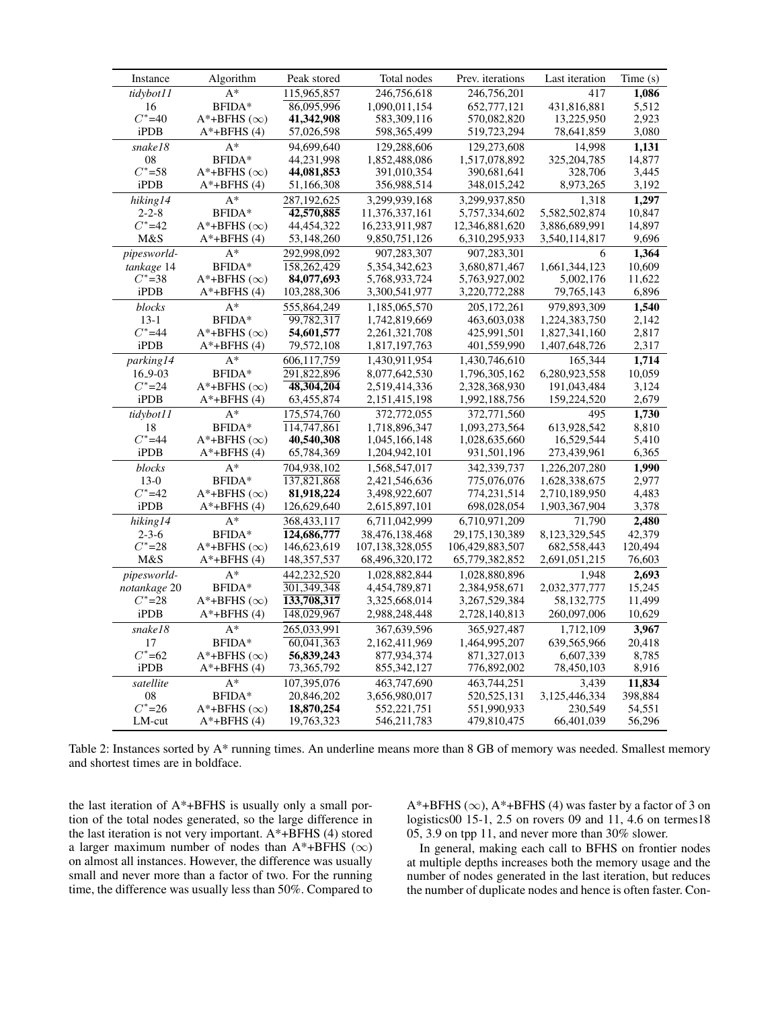| Instance     | Algorithm                | Peak stored   | Total nodes        | Prev. iterations | Last iteration | Time(s) |
|--------------|--------------------------|---------------|--------------------|------------------|----------------|---------|
| tidybot11    | $A^*$                    | 115,965,857   | 246,756,618        | 246,756,201      | 417            | 1,086   |
| 16           | BFIDA*                   | 86,095,996    | 1,090,011,154      | 652,777,121      | 431,816,881    | 5,512   |
| $C^* = 40$   | $A^*$ +BFHS $(\infty)$   | 41,342,908    | 583,309,116        | 570,082,820      | 13,225,950     | 2,923   |
| iPDB         | $A^*$ +BFHS $(4)$        | 57,026,598    | 598, 365, 499      | 519,723,294      | 78,641,859     | 3,080   |
| snake18      | $A^*$                    | 94,699,640    | 129,288,606        | 129,273,608      | 14,998         | 1.131   |
| 08           | BFIDA*                   | 44,231,998    | 1,852,488,086      | 1,517,078,892    | 325, 204, 785  | 14,877  |
| $C^*$ =58    | $A^*$ +BFHS ( $\infty$ ) | 44,081,853    | 391,010,354        | 390,681,641      | 328,706        | 3,445   |
| iPDB         | $A^*$ +BFHS $(4)$        | 51,166,308    | 356,988,514        | 348,015,242      | 8,973,265      | 3,192   |
| hiking14     | $A^*$                    | 287,192,625   | 3,299,939,168      | 3,299,937,850    | 1,318          | 1,297   |
| $2 - 2 - 8$  | BFIDA*                   | 42,570,885    | 11,376,337,161     | 5,757,334,602    | 5,582,502,874  | 10,847  |
| $C^* = 42$   | $A^*$ +BFHS ( $\infty$ ) | 44,454,322    | 16,233,911,987     | 12,346,881,620   | 3,886,689,991  | 14,897  |
| M&S          | $A^*$ +BFHS $(4)$        | 53,148,260    | 9,850,751,126      | 6,310,295,933    | 3,540,114,817  | 9,696   |
| pipesworld-  | $A^*$                    | 292,998,092   | 907,283,307        | 907,283,301      | 6              | 1,364   |
| tankage 14   | BFIDA*                   | 158,262,429   | 5,354,342,623      | 3,680,871,467    | 1,661,344,123  | 10,609  |
| $C^*$ =38    | $A^*$ +BFHS $(\infty)$   | 84,077,693    | 5,768,933,724      | 5,763,927,002    | 5,002,176      | 11,622  |
| iPDB         | $A^*$ +BFHS $(4)$        | 103,288,306   | 3,300,541,977      | 3,220,772,288    | 79,765,143     | 6,896   |
| blocks       | $A^*$                    | 555,864,249   | 1,185,065,570      | 205, 172, 261    | 979,893,309    | 1,540   |
| $13-1$       | BFIDA*                   | 99,782,317    | 1,742,819,669      | 463,603,038      | 1,224,383,750  | 2,142   |
| $C^*$ =44    | $A^*$ +BFHS $(\infty)$   | 54,601,577    | 2,261,321,708      | 425,991,501      | 1,827,341,160  | 2,817   |
| iPDB         | $A^*$ +BFHS $(4)$        | 79,572,108    | 1,817,197,763      | 401,559,990      | 1,407,648,726  | 2,317   |
| parking14    | $A^*$                    | 606,117,759   | 1,430,911,954      | 1,430,746,610    | 165,344        | 1,714   |
| $16_9 - 03$  | BFIDA*                   | 291,822,896   | 8,077,642,530      | 1,796,305,162    | 6,280,923,558  | 10,059  |
| $C^* = 24$   | $A^*$ +BFHS ( $\infty$ ) | 48,304,204    | 2,519,414,336      | 2,328,368,930    | 191,043,484    | 3,124   |
| iPDB         | $A^*$ +BFHS $(4)$        | 63,455,874    | 2, 151, 415, 198   | 1,992,188,756    | 159,224,520    | 2,679   |
| tidybot11    | $A^*$                    | 175,574,760   | 372,772,055        | 372,771,560      | 495            | 1,730   |
| 18           | BFIDA*                   | 114,747,861   | 1,718,896,347      | 1,093,273,564    | 613,928,542    | 8,810   |
| $C^* = 44$   | $A^*$ +BFHS ( $\infty$ ) | 40,540,308    | 1,045,166,148      | 1,028,635,660    | 16,529,544     | 5,410   |
| iPDB         | $A^*$ +BFHS $(4)$        | 65,784,369    | 1,204,942,101      | 931,501,196      | 273,439,961    | 6,365   |
| blocks       | $A^*$                    | 704,938,102   | 1,568,547,017      | 342,339,737      | 1,226,207,280  | 1,990   |
| $13-0$       | BFIDA*                   | 137,821,868   | 2,421,546,636      | 775,076,076      | 1,628,338,675  | 2,977   |
| $C^* = 42$   | $A^*$ +BFHS $(\infty)$   | 81,918,224    | 3,498,922,607      | 774,231,514      | 2,710,189,950  | 4,483   |
| iPDB         | $A^*$ +BFHS $(4)$        | 126,629,640   | 2,615,897,101      | 698,028,054      | 1,903,367,904  | 3,378   |
| hiking14     | $A^*$                    | 368,433,117   | 6,711,042,999      | 6,710,971,209    | 71,790         | 2,480   |
| $2 - 3 - 6$  | BFIDA*                   | 124,686,777   | 38,476,138,468     | 29,175,130,389   | 8,123,329,545  | 42,379  |
| $C^* = 28$   | $A^*$ +BFHS $(\infty)$   | 146,623,619   | 107, 138, 328, 055 | 106,429,883,507  | 682,558,443    | 120,494 |
| M&S          | $A^*$ +BFHS $(4)$        | 148, 357, 537 | 68,496,320,172     | 65,779,382,852   | 2,691,051,215  | 76,603  |
| pipesworld-  | $A^*$                    | 442,232,520   | 1,028,882,844      | 1,028,880,896    | 1,948          | 2,693   |
| notankage 20 | BFIDA*                   | 301,349,348   | 4,454,789,871      | 2,384,958,671    | 2,032,377,777  | 15,245  |
| $C^* = 28$   | $A^*$ +BFHS $(\infty)$   | 133,708,317   | 3,325,668,014      | 3,267,529,384    | 58,132,775     | 11,499  |
| iPDB         | $A^*$ +BFHS $(4)$        | 148,029,967   | 2,988,248,448      | 2,728,140,813    | 260,097,006    | 10,629  |
|              |                          |               |                    |                  |                |         |
| snake18      | $A^*$                    | 265,033,991   | 367,639,596        | 365,927,487      | 1,712,109      | 3,967   |
| 17           | BFIDA*                   | 60,041,363    | 2,162,411,969      | 1,464,995,207    | 639,565,966    | 20,418  |
| $C^*$ =62    | $A^*$ +BFHS $(\infty)$   | 56,839,243    | 877,934,374        | 871,327,013      | 6,607,339      | 8,785   |
| iPDB         | $A^*$ +BFHS (4)          | 73,365,792    | 855, 342, 127      | 776,892,002      | 78,450,103     | 8,916   |
| satellite    | $A^*$                    | 107,395,076   | 463,747,690        | 463,744,251      | 3,439          | 11,834  |
| 08           | BFIDA*                   | 20,846,202    | 3,656,980,017      | 520, 525, 131    | 3,125,446,334  | 398,884 |
| $C^* = 26$   | $A^*$ +BFHS $(\infty)$   | 18,870,254    | 552,221,751        | 551,990,933      | 230,549        | 54,551  |
| LM-cut       | $A^*$ +BFHS (4)          | 19,763,323    | 546,211,783        | 479,810,475      | 66,401,039     | 56,296  |

Table 2: Instances sorted by A\* running times. An underline means more than 8 GB of memory was needed. Smallest memory and shortest times are in boldface.

the last iteration of A\*+BFHS is usually only a small portion of the total nodes generated, so the large difference in the last iteration is not very important.  $A^*$ +BFHS (4) stored a larger maximum number of nodes than  $A^*+BFHS$  ( $\infty$ ) on almost all instances. However, the difference was usually small and never more than a factor of two. For the running time, the difference was usually less than 50%. Compared to A\*+BFHS ( $\infty$ ), A\*+BFHS (4) was faster by a factor of 3 on logistics00 15-1, 2.5 on rovers 09 and 11, 4.6 on termes18 05, 3.9 on tpp 11, and never more than 30% slower.

In general, making each call to BFHS on frontier nodes at multiple depths increases both the memory usage and the number of nodes generated in the last iteration, but reduces the number of duplicate nodes and hence is often faster. Con-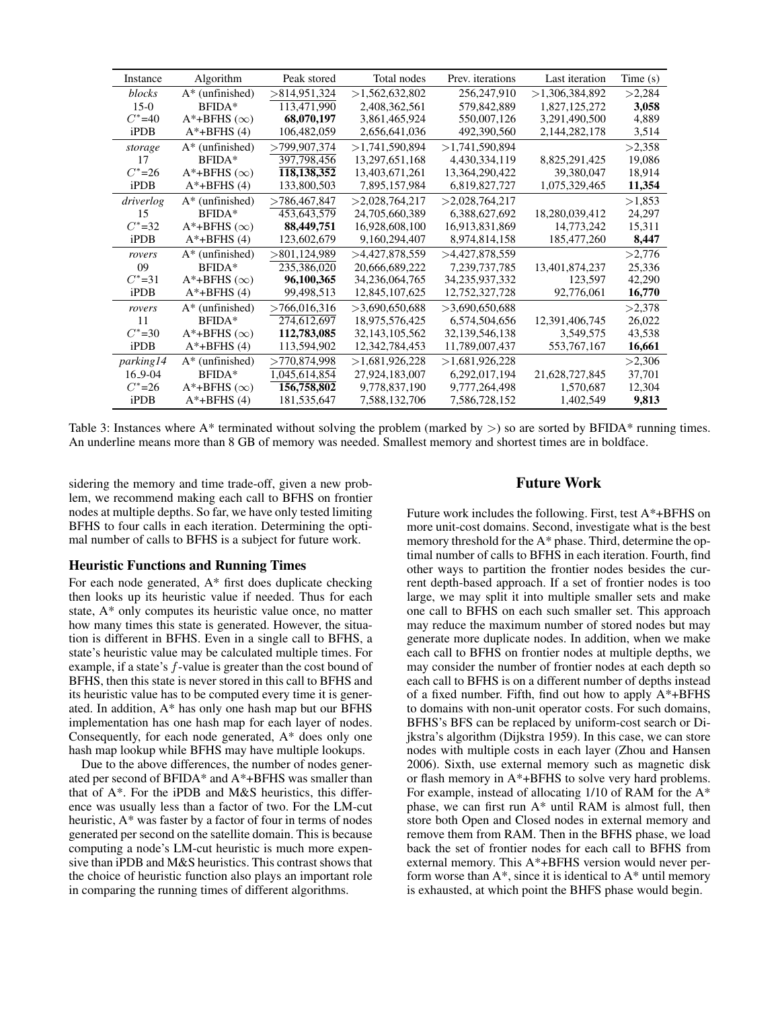| Instance   | Algorithm                | Peak stored   | Total nodes       | Prev. <i>iterations</i> | Last iteration | Time (s) |
|------------|--------------------------|---------------|-------------------|-------------------------|----------------|----------|
| blocks     | $A^*$ (unfinished)       | >814,951,324  | >1,562,632,802    | 256,247,910             | >1,306,384,892 | >2,284   |
| $15-0$     | $BFIDA*$                 | 113,471,990   | 2,408,362,561     | 579,842,889             | 1,827,125,272  | 3,058    |
| $C^* = 40$ | $A^*$ +BFHS $(\infty)$   | 68,070,197    | 3,861,465,924     | 550,007,126             | 3,291,490,500  | 4,889    |
| iPDB       | $A^*$ +BFHS (4)          | 106,482,059   | 2,656,641,036     | 492.390.560             | 2,144,282,178  | 3,514    |
| storage    | $A^*$ (unfinished)       | >799,907,374  | >1,741,590,894    | >1,741,590,894          |                | >2.358   |
| 17         | BFIDA*                   | 397,798,456   | 13,297,651,168    | 4,430,334,119           | 8,825,291,425  | 19.086   |
| $C^* = 26$ | $A^*$ +BFHS $(\infty)$   | 118,138,352   | 13,403,671,261    | 13,364,290,422          | 39,380,047     | 18,914   |
| iPDB       | $A^*$ +BFHS (4)          | 133,800,503   | 7,895,157,984     | 6,819,827,727           | 1,075,329,465  | 11,354   |
| driverlog  | $A^*$ (unfinished)       | >786.467.847  | >2.028.764.217    | >2.028,764,217          |                | >1.853   |
| 15         | $BFIDA*$                 | 453,643,579   | 24,705,660,389    | 6,388,627,692           | 18,280,039,412 | 24.297   |
| $C^* = 32$ | $A^*$ +BFHS $(\infty)$   | 88,449,751    | 16,928,608,100    | 16,913,831,869          | 14,773,242     | 15,311   |
| iPDB       | $A^*$ +BFHS (4)          | 123,602,679   | 9,160,294,407     | 8,974,814,158           | 185,477,260    | 8,447    |
| rovers     | $A^*$ (unfinished)       | >801.124.989  | >4.427.878.559    | >4,427,878,559          |                | >2,776   |
| 09         | BFIDA*                   | 235.386.020   | 20,666,689,222    | 7,239,737,785           | 13.401.874.237 | 25.336   |
| $C^* = 31$ | $A^*$ +BFHS ( $\infty$ ) | 96,100,365    | 34, 236, 064, 765 | 34,235,937,332          | 123,597        | 42,290   |
| iPDB       | $A^*$ +BFHS (4)          | 99,498,513    | 12,845,107,625    | 12,752,327,728          | 92,776,061     | 16,770   |
| rovers     | $A^*$ (unfinished)       | >766,016,316  | $>$ 3.690.650.688 | >3.690.650.688          |                | >2,378   |
| 11         | BFIDA*                   | 274.612.697   | 18,975,576,425    | 6,574,504,656           | 12,391,406,745 | 26,022   |
| $C^* = 30$ | $A^*$ +BFHS ( $\infty$ ) | 112,783,085   | 32, 143, 105, 562 | 32, 139, 546, 138       | 3,549,575      | 43,538   |
| iPDB       | A*+BFHS (4)              | 113,594,902   | 12,342,784,453    | 11,789,007,437          | 553,767,167    | 16,661   |
| parking 14 | $A^*$ (unfinished)       | >770.874.998  | >1.681.926.228    | >1.681.926.228          |                | >2,306   |
| 16_9-04    | BFIDA*                   | 1.045.614.854 | 27,924,183,007    | 6,292,017,194           | 21,628,727,845 | 37.701   |
| $C^* = 26$ | $A^*$ +BFHS ( $\infty$ ) | 156,758,802   | 9,778,837,190     | 9,777,264,498           | 1,570,687      | 12,304   |
| iPDB       | $A^*$ +BFHS (4)          | 181,535,647   | 7,588,132,706     | 7,586,728,152           | 1,402,549      | 9,813    |

Table 3: Instances where  $A^*$  terminated without solving the problem (marked by  $>$ ) so are sorted by BFIDA\* running times. An underline means more than 8 GB of memory was needed. Smallest memory and shortest times are in boldface.

sidering the memory and time trade-off, given a new problem, we recommend making each call to BFHS on frontier nodes at multiple depths. So far, we have only tested limiting BFHS to four calls in each iteration. Determining the optimal number of calls to BFHS is a subject for future work.

### Heuristic Functions and Running Times

For each node generated,  $A^*$  first does duplicate checking then looks up its heuristic value if needed. Thus for each state, A\* only computes its heuristic value once, no matter how many times this state is generated. However, the situation is different in BFHS. Even in a single call to BFHS, a state's heuristic value may be calculated multiple times. For example, if a state's  $f$ -value is greater than the cost bound of BFHS, then this state is never stored in this call to BFHS and its heuristic value has to be computed every time it is generated. In addition, A\* has only one hash map but our BFHS implementation has one hash map for each layer of nodes. Consequently, for each node generated, A\* does only one hash map lookup while BFHS may have multiple lookups.

Due to the above differences, the number of nodes generated per second of BFIDA\* and A\*+BFHS was smaller than that of A\*. For the iPDB and M&S heuristics, this difference was usually less than a factor of two. For the LM-cut heuristic, A\* was faster by a factor of four in terms of nodes generated per second on the satellite domain. This is because computing a node's LM-cut heuristic is much more expensive than iPDB and M&S heuristics. This contrast shows that the choice of heuristic function also plays an important role in comparing the running times of different algorithms.

## Future Work

Future work includes the following. First, test A\*+BFHS on more unit-cost domains. Second, investigate what is the best memory threshold for the A\* phase. Third, determine the optimal number of calls to BFHS in each iteration. Fourth, find other ways to partition the frontier nodes besides the current depth-based approach. If a set of frontier nodes is too large, we may split it into multiple smaller sets and make one call to BFHS on each such smaller set. This approach may reduce the maximum number of stored nodes but may generate more duplicate nodes. In addition, when we make each call to BFHS on frontier nodes at multiple depths, we may consider the number of frontier nodes at each depth so each call to BFHS is on a different number of depths instead of a fixed number. Fifth, find out how to apply A\*+BFHS to domains with non-unit operator costs. For such domains, BFHS's BFS can be replaced by uniform-cost search or Dijkstra's algorithm (Dijkstra 1959). In this case, we can store nodes with multiple costs in each layer (Zhou and Hansen 2006). Sixth, use external memory such as magnetic disk or flash memory in A\*+BFHS to solve very hard problems. For example, instead of allocating 1/10 of RAM for the A\* phase, we can first run A\* until RAM is almost full, then store both Open and Closed nodes in external memory and remove them from RAM. Then in the BFHS phase, we load back the set of frontier nodes for each call to BFHS from external memory. This A\*+BFHS version would never perform worse than  $A^*$ , since it is identical to  $A^*$  until memory is exhausted, at which point the BHFS phase would begin.